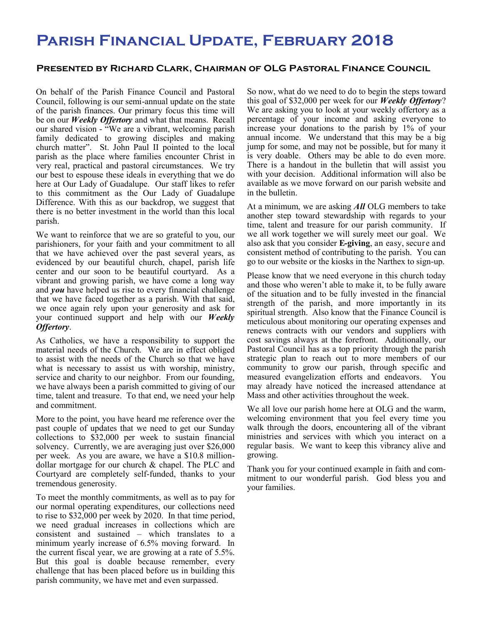## **Parish Financial Update, February 2018**

## **Presented by Richard Clark, Chairman of OLG Pastoral Finance Council**

On behalf of the Parish Finance Council and Pastoral Council, following is our semi-annual update on the state of the parish finances. Our primary focus this time will be on our *Weekly Offertory* and what that means. Recall our shared vision - "We are a vibrant, welcoming parish family dedicated to growing disciples and making church matter". St. John Paul II pointed to the local parish as the place where families encounter Christ in very real, practical and pastoral circumstances. We try our best to espouse these ideals in everything that we do here at Our Lady of Guadalupe. Our staff likes to refer to this commitment as the Our Lady of Guadalupe Difference. With this as our backdrop, we suggest that there is no better investment in the world than this local parish.

We want to reinforce that we are so grateful to you, our parishioners, for your faith and your commitment to all that we have achieved over the past several years, as evidenced by our beautiful church, chapel, parish life center and our soon to be beautiful courtyard. As a vibrant and growing parish, we have come a long way and *you* have helped us rise to every financial challenge that we have faced together as a parish. With that said, we once again rely upon your generosity and ask for your continued support and help with our *Weekly Offertory*.

As Catholics, we have a responsibility to support the material needs of the Church. We are in effect obliged to assist with the needs of the Church so that we have what is necessary to assist us with worship, ministry, service and charity to our neighbor. From our founding, we have always been a parish committed to giving of our time, talent and treasure. To that end, we need your help and commitment.

More to the point, you have heard me reference over the past couple of updates that we need to get our Sunday collections to \$32,000 per week to sustain financial solvency. Currently, we are averaging just over \$26,000 per week. As you are aware, we have a \$10.8 milliondollar mortgage for our church & chapel. The PLC and Courtyard are completely self-funded, thanks to your tremendous generosity.

To meet the monthly commitments, as well as to pay for our normal operating expenditures, our collections need to rise to \$32,000 per week by 2020. In that time period, we need gradual increases in collections which are consistent and sustained – which translates to a minimum yearly increase of 6.5% moving forward. In the current fiscal year, we are growing at a rate of 5.5%. But this goal is doable because remember, every challenge that has been placed before us in building this parish community, we have met and even surpassed.

So now, what do we need to do to begin the steps toward this goal of \$32,000 per week for our *Weekly Offertory*? We are asking you to look at your weekly offertory as a percentage of your income and asking everyone to increase your donations to the parish by 1% of your annual income. We understand that this may be a big jump for some, and may not be possible, but for many it is very doable. Others may be able to do even more. There is a handout in the bulletin that will assist you with your decision. Additional information will also be available as we move forward on our parish website and in the bulletin.

At a minimum, we are asking *All* OLG members to take another step toward stewardship with regards to your time, talent and treasure for our parish community. If we all work together we will surely meet our goal. We also ask that you consider **E-giving**, an easy, secure and consistent method of contributing to the parish. You can go to our website or the kiosks in the Narthex to sign-up.

Please know that we need everyone in this church today and those who weren't able to make it, to be fully aware of the situation and to be fully invested in the financial strength of the parish, and more importantly in its spiritual strength. Also know that the Finance Council is meticulous about monitoring our operating expenses and renews contracts with our vendors and suppliers with cost savings always at the forefront. Additionally, our Pastoral Council has as a top priority through the parish strategic plan to reach out to more members of our community to grow our parish, through specific and measured evangelization efforts and endeavors. You may already have noticed the increased attendance at Mass and other activities throughout the week.

We all love our parish home here at OLG and the warm, welcoming environment that you feel every time you walk through the doors, encountering all of the vibrant ministries and services with which you interact on a regular basis. We want to keep this vibrancy alive and growing.

Thank you for your continued example in faith and commitment to our wonderful parish. God bless you and your families.